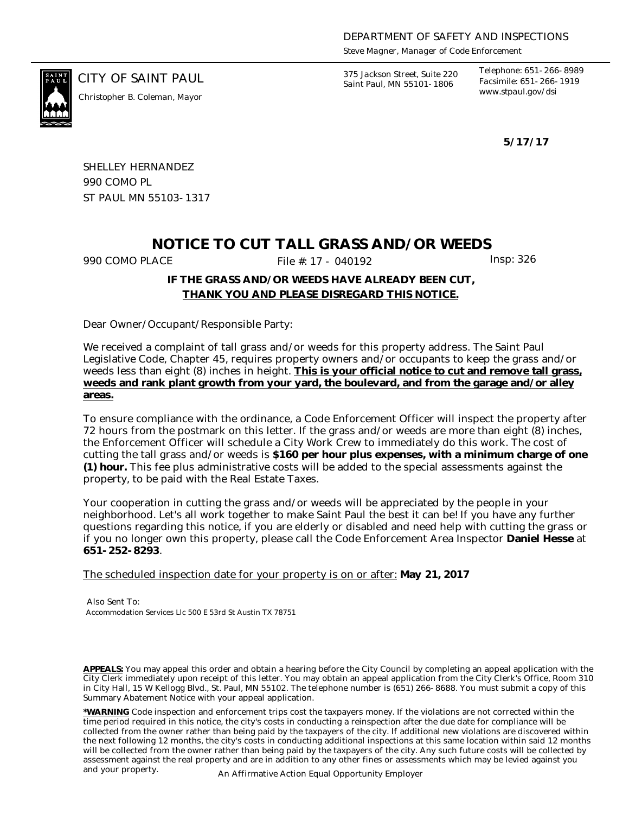*Steve Magner, Manager of Code Enforcement*

*www.stpaul.gov/dsi Christopher B. Coleman, Mayor*

CITY OF SAINT PAUL *375 Jackson Street, Suite 220 Saint Paul, MN 55101-1806*

*Telephone: 651-266-8989 Facsimile: 651-266-1919*

**5/17/17**

SHELLEY HERNANDEZ 990 COMO PL ST PAUL MN 55103-1317

## **NOTICE TO CUT TALL GRASS AND/OR WEEDS**

990 COMO PLACE **File #: 17 - 040192** Insp: 326

### **IF THE GRASS AND/OR WEEDS HAVE ALREADY BEEN CUT, THANK YOU AND PLEASE DISREGARD THIS NOTICE.**

Dear Owner/Occupant/Responsible Party:

We received a complaint of tall grass and/or weeds for this property address. The Saint Paul Legislative Code, Chapter 45, requires property owners and/or occupants to keep the grass and/or weeds less than eight (8) inches in height. **This is your official notice to cut and remove tall grass, weeds and rank plant growth from your yard, the boulevard, and from the garage and/or alley areas.**

To ensure compliance with the ordinance, a Code Enforcement Officer will inspect the property after 72 hours from the postmark on this letter. If the grass and/or weeds are more than eight (8) inches, the Enforcement Officer will schedule a City Work Crew to immediately do this work. The cost of cutting the tall grass and/or weeds is **\$160 per hour plus expenses, with a minimum charge of one (1) hour.** This fee plus administrative costs will be added to the special assessments against the property, to be paid with the Real Estate Taxes.

Your cooperation in cutting the grass and/or weeds will be appreciated by the people in your neighborhood. Let's all work together to make Saint Paul the best it can be! If you have any further questions regarding this notice, if you are elderly or disabled and need help with cutting the grass or if you no longer own this property, please call the Code Enforcement Area Inspector **Daniel Hesse** at **651-252-8293**.

The scheduled inspection date for your property is on or after: **May 21, 2017**

Also Sent To: Accommodation Services Llc 500 E 53rd St Austin TX 78751

**APPEALS:** You may appeal this order and obtain a hearing before the City Council by completing an appeal application with the City Clerk immediately upon receipt of this letter. You may obtain an appeal application from the City Clerk's Office, Room 310 in City Hall, 15 W Kellogg Blvd., St. Paul, MN 55102. The telephone number is (651) 266-8688. You must submit a copy of this Summary Abatement Notice with your appeal application.

**\*WARNING** Code inspection and enforcement trips cost the taxpayers money. If the violations are not corrected within the time period required in this notice, the city's costs in conducting a reinspection after the due date for compliance will be collected from the owner rather than being paid by the taxpayers of the city. If additional new violations are discovered within the next following 12 months, the city's costs in conducting additional inspections at this same location within said 12 months will be collected from the owner rather than being paid by the taxpayers of the city. Any such future costs will be collected by assessment against the real property and are in addition to any other fines or assessments which may be levied against you and your property. An Affirmative Action Equal Opportunity Employer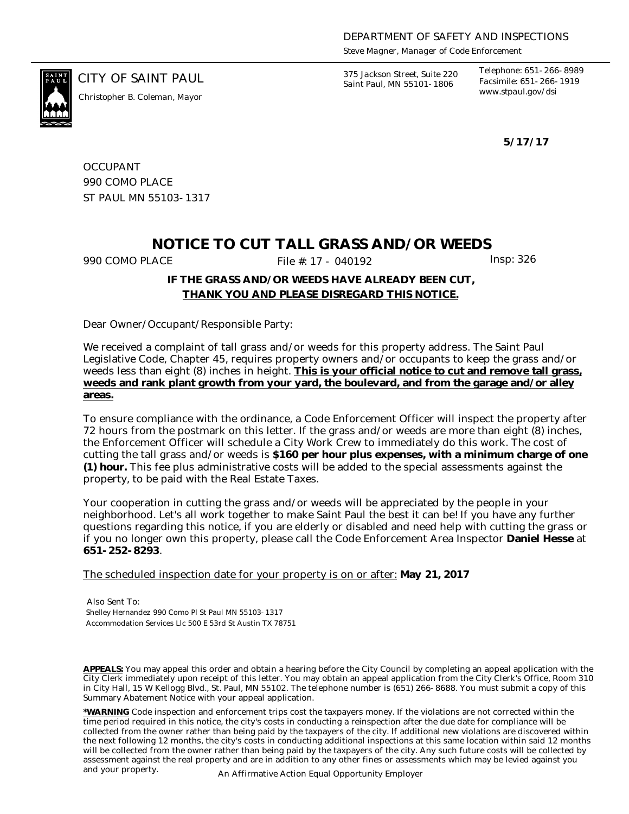*Steve Magner, Manager of Code Enforcement*

*www.stpaul.gov/dsi Christopher B. Coleman, Mayor*

CITY OF SAINT PAUL *375 Jackson Street, Suite 220 Saint Paul, MN 55101-1806*

*Telephone: 651-266-8989 Facsimile: 651-266-1919*

**5/17/17**

**OCCUPANT** 990 COMO PLACE ST PAUL MN 55103-1317

## **NOTICE TO CUT TALL GRASS AND/OR WEEDS**

990 COMO PLACE **File #: 17 - 040192** Insp: 326

### **IF THE GRASS AND/OR WEEDS HAVE ALREADY BEEN CUT, THANK YOU AND PLEASE DISREGARD THIS NOTICE.**

Dear Owner/Occupant/Responsible Party:

We received a complaint of tall grass and/or weeds for this property address. The Saint Paul Legislative Code, Chapter 45, requires property owners and/or occupants to keep the grass and/or weeds less than eight (8) inches in height. **This is your official notice to cut and remove tall grass, weeds and rank plant growth from your yard, the boulevard, and from the garage and/or alley areas.**

To ensure compliance with the ordinance, a Code Enforcement Officer will inspect the property after 72 hours from the postmark on this letter. If the grass and/or weeds are more than eight (8) inches, the Enforcement Officer will schedule a City Work Crew to immediately do this work. The cost of cutting the tall grass and/or weeds is **\$160 per hour plus expenses, with a minimum charge of one (1) hour.** This fee plus administrative costs will be added to the special assessments against the property, to be paid with the Real Estate Taxes.

Your cooperation in cutting the grass and/or weeds will be appreciated by the people in your neighborhood. Let's all work together to make Saint Paul the best it can be! If you have any further questions regarding this notice, if you are elderly or disabled and need help with cutting the grass or if you no longer own this property, please call the Code Enforcement Area Inspector **Daniel Hesse** at **651-252-8293**.

The scheduled inspection date for your property is on or after: **May 21, 2017**

Also Sent To: Shelley Hernandez 990 Como Pl St Paul MN 55103-1317 Accommodation Services Llc 500 E 53rd St Austin TX 78751

**APPEALS:** You may appeal this order and obtain a hearing before the City Council by completing an appeal application with the City Clerk immediately upon receipt of this letter. You may obtain an appeal application from the City Clerk's Office, Room 310 in City Hall, 15 W Kellogg Blvd., St. Paul, MN 55102. The telephone number is (651) 266-8688. You must submit a copy of this Summary Abatement Notice with your appeal application.

**\*WARNING** Code inspection and enforcement trips cost the taxpayers money. If the violations are not corrected within the time period required in this notice, the city's costs in conducting a reinspection after the due date for compliance will be collected from the owner rather than being paid by the taxpayers of the city. If additional new violations are discovered within the next following 12 months, the city's costs in conducting additional inspections at this same location within said 12 months will be collected from the owner rather than being paid by the taxpayers of the city. Any such future costs will be collected by assessment against the real property and are in addition to any other fines or assessments which may be levied against you and your property. An Affirmative Action Equal Opportunity Employer